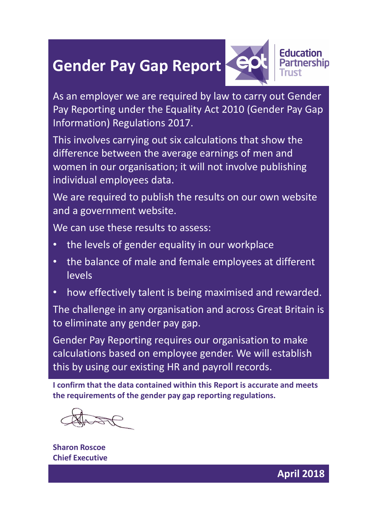## Gender Pay Gap Report CPV Partnership



**Education** 

As an employer we are required by law to carry out Gender Pay Reporting under the Equality Act 2010 (Gender Pay Gap Information) Regulations 2017.

This involves carrying out six calculations that show the difference between the average earnings of men and women in our organisation; it will not involve publishing individual employees data.

We are required to publish the results on our own website and a government website.

We can use these results to assess:

- the levels of gender equality in our workplace
- the balance of male and female employees at different levels
- how effectively talent is being maximised and rewarded.

The challenge in any organisation and across Great Britain is to eliminate any gender pay gap.

Gender Pay Reporting requires our organisation to make calculations based on employee gender. We will establish this by using our existing HR and payroll records.

I confirm that the data contained within this Report is accurate and meets the requirements of the gender pay gap reporting regulations.

Sharon Roscoe Chief Executive